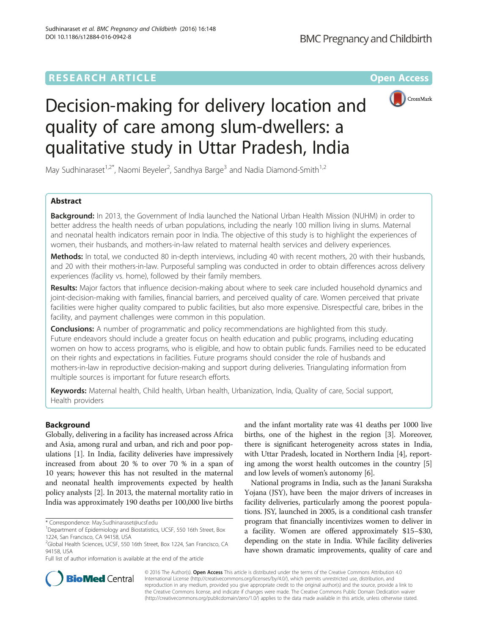# **RESEARCH ARTICLE External Structure Community Community Community Community Community Community Community Community**



# Decision-making for delivery location and quality of care among slum-dwellers: a qualitative study in Uttar Pradesh, India

May Sudhinaraset<sup>1,2\*</sup>, Naomi Beyeler<sup>2</sup>, Sandhya Barge<sup>3</sup> and Nadia Diamond-Smith<sup>1,2</sup>

# Abstract

**Background:** In 2013, the Government of India launched the National Urban Health Mission (NUHM) in order to better address the health needs of urban populations, including the nearly 100 million living in slums. Maternal and neonatal health indicators remain poor in India. The objective of this study is to highlight the experiences of women, their husbands, and mothers-in-law related to maternal health services and delivery experiences.

Methods: In total, we conducted 80 in-depth interviews, including 40 with recent mothers, 20 with their husbands, and 20 with their mothers-in-law. Purposeful sampling was conducted in order to obtain differences across delivery experiences (facility vs. home), followed by their family members.

Results: Major factors that influence decision-making about where to seek care included household dynamics and joint-decision-making with families, financial barriers, and perceived quality of care. Women perceived that private facilities were higher quality compared to public facilities, but also more expensive. Disrespectful care, bribes in the facility, and payment challenges were common in this population.

**Conclusions:** A number of programmatic and policy recommendations are highlighted from this study. Future endeavors should include a greater focus on health education and public programs, including educating women on how to access programs, who is eligible, and how to obtain public funds. Families need to be educated on their rights and expectations in facilities. Future programs should consider the role of husbands and mothers-in-law in reproductive decision-making and support during deliveries. Triangulating information from multiple sources is important for future research efforts.

Keywords: Maternal health, Child health, Urban health, Urbanization, India, Quality of care, Social support, Health providers

# Background

Globally, delivering in a facility has increased across Africa and Asia, among rural and urban, and rich and poor populations [\[1](#page-9-0)]. In India, facility deliveries have impressively increased from about 20 % to over 70 % in a span of 10 years; however this has not resulted in the maternal and neonatal health improvements expected by health policy analysts [\[2](#page-9-0)]. In 2013, the maternal mortality ratio in India was approximately 190 deaths per 100,000 live births

Full list of author information is available at the end of the article

and the infant mortality rate was 41 deaths per 1000 live births, one of the highest in the region [[3\]](#page-9-0). Moreover, there is significant heterogeneity across states in India, with Uttar Pradesh, located in Northern India [\[4](#page-9-0)], reporting among the worst health outcomes in the country [[5](#page-9-0)] and low levels of women's autonomy [\[6\]](#page-9-0).

National programs in India, such as the Janani Suraksha Yojana (JSY), have been the major drivers of increases in facility deliveries, particularly among the poorest populations. JSY, launched in 2005, is a conditional cash transfer program that financially incentivizes women to deliver in a facility. Women are offered approximately \$15–\$30, depending on the state in India. While facility deliveries have shown dramatic improvements, quality of care and



© 2016 The Author(s). Open Access This article is distributed under the terms of the Creative Commons Attribution 4.0 International License [\(http://creativecommons.org/licenses/by/4.0/](http://creativecommons.org/licenses/by/4.0/)), which permits unrestricted use, distribution, and reproduction in any medium, provided you give appropriate credit to the original author(s) and the source, provide a link to the Creative Commons license, and indicate if changes were made. The Creative Commons Public Domain Dedication waiver [\(http://creativecommons.org/publicdomain/zero/1.0/](http://creativecommons.org/publicdomain/zero/1.0/)) applies to the data made available in this article, unless otherwise stated.

<sup>\*</sup> Correspondence: [May.Sudhinaraset@ucsf.edu](mailto:May.Sudhinaraset@ucsf.edu) <sup>1</sup>

Department of Epidemiology and Biostatistics, UCSF, 550 16th Street, Box 1224, San Francisco, CA 94158, USA

<sup>&</sup>lt;sup>2</sup>Global Health Sciences, UCSF, 550 16th Street, Box 1224, San Francisco, CA 94158, USA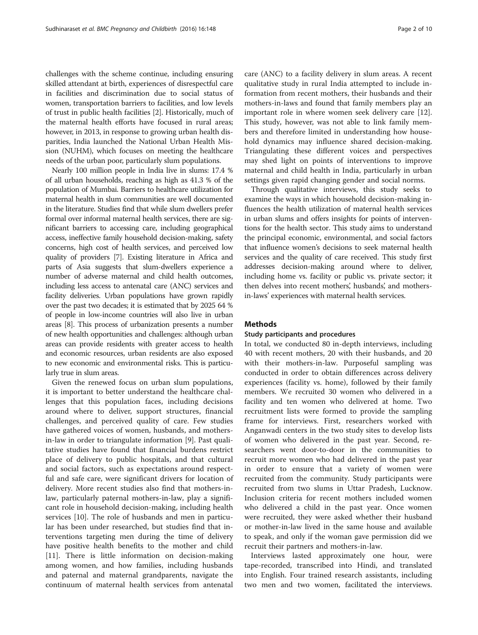challenges with the scheme continue, including ensuring skilled attendant at birth, experiences of disrespectful care in facilities and discrimination due to social status of women, transportation barriers to facilities, and low levels of trust in public health facilities [\[2](#page-9-0)]. Historically, much of the maternal health efforts have focused in rural areas; however, in 2013, in response to growing urban health disparities, India launched the National Urban Health Mission (NUHM), which focuses on meeting the healthcare needs of the urban poor, particularly slum populations.

Nearly 100 million people in India live in slums: 17.4 % of all urban households, reaching as high as 41.3 % of the population of Mumbai. Barriers to healthcare utilization for maternal health in slum communities are well documented in the literature. Studies find that while slum dwellers prefer formal over informal maternal health services, there are significant barriers to accessing care, including geographical access, ineffective family household decision-making, safety concerns, high cost of health services, and perceived low quality of providers [\[7](#page-9-0)]. Existing literature in Africa and parts of Asia suggests that slum-dwellers experience a number of adverse maternal and child health outcomes, including less access to antenatal care (ANC) services and facility deliveries. Urban populations have grown rapidly over the past two decades; it is estimated that by 2025 64 % of people in low-income countries will also live in urban areas [\[8\]](#page-9-0). This process of urbanization presents a number of new health opportunities and challenges: although urban areas can provide residents with greater access to health and economic resources, urban residents are also exposed to new economic and environmental risks. This is particularly true in slum areas.

Given the renewed focus on urban slum populations, it is important to better understand the healthcare challenges that this population faces, including decisions around where to deliver, support structures, financial challenges, and perceived quality of care. Few studies have gathered voices of women, husbands, and mothersin-law in order to triangulate information [[9\]](#page-9-0). Past qualitative studies have found that financial burdens restrict place of delivery to public hospitals, and that cultural and social factors, such as expectations around respectful and safe care, were significant drivers for location of delivery. More recent studies also find that mothers-inlaw, particularly paternal mothers-in-law, play a significant role in household decision-making, including health services [\[10](#page-9-0)]. The role of husbands and men in particular has been under researched, but studies find that interventions targeting men during the time of delivery have positive health benefits to the mother and child [[11\]](#page-9-0). There is little information on decision-making among women, and how families, including husbands and paternal and maternal grandparents, navigate the continuum of maternal health services from antenatal

care (ANC) to a facility delivery in slum areas. A recent qualitative study in rural India attempted to include information from recent mothers, their husbands and their mothers-in-laws and found that family members play an important role in where women seek delivery care [\[12](#page-9-0)]. This study, however, was not able to link family members and therefore limited in understanding how household dynamics may influence shared decision-making. Triangulating these different voices and perspectives may shed light on points of interventions to improve maternal and child health in India, particularly in urban settings given rapid changing gender and social norms.

Through qualitative interviews, this study seeks to examine the ways in which household decision-making influences the health utilization of maternal health services in urban slums and offers insights for points of interventions for the health sector. This study aims to understand the principal economic, environmental, and social factors that influence women's decisions to seek maternal health services and the quality of care received. This study first addresses decision-making around where to deliver, including home vs. facility or public vs. private sector; it then delves into recent mothers', husbands', and mothersin-laws' experiences with maternal health services.

# **Methods**

# Study participants and procedures

In total, we conducted 80 in-depth interviews, including 40 with recent mothers, 20 with their husbands, and 20 with their mothers-in-law. Purposeful sampling was conducted in order to obtain differences across delivery experiences (facility vs. home), followed by their family members. We recruited 30 women who delivered in a facility and ten women who delivered at home. Two recruitment lists were formed to provide the sampling frame for interviews. First, researchers worked with Anganwadi centers in the two study sites to develop lists of women who delivered in the past year. Second, researchers went door-to-door in the communities to recruit more women who had delivered in the past year in order to ensure that a variety of women were recruited from the community. Study participants were recruited from two slums in Uttar Pradesh, Lucknow. Inclusion criteria for recent mothers included women who delivered a child in the past year. Once women were recruited, they were asked whether their husband or mother-in-law lived in the same house and available to speak, and only if the woman gave permission did we recruit their partners and mothers-in-law.

Interviews lasted approximately one hour, were tape-recorded, transcribed into Hindi, and translated into English. Four trained research assistants, including two men and two women, facilitated the interviews.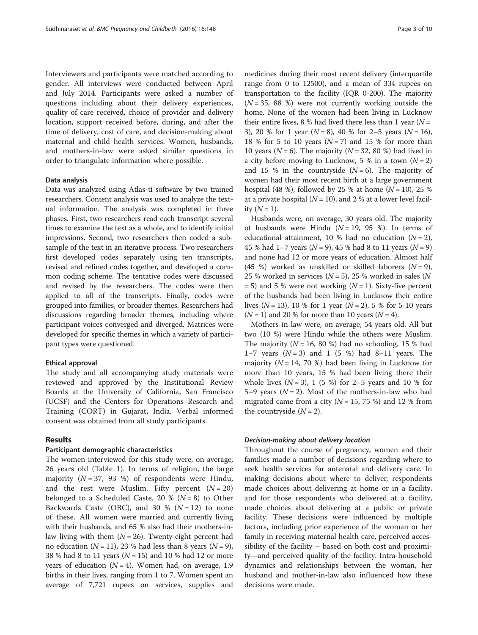Interviewers and participants were matched according to gender. All interviews were conducted between April and July 2014. Participants were asked a number of questions including about their delivery experiences, quality of care received, choice of provider and delivery location, support received before, during, and after the time of delivery, cost of care, and decision-making about maternal and child health services. Women, husbands, and mothers-in-law were asked similar questions in order to triangulate information where possible.

# Data analysis

Data was analyzed using Atlas-ti software by two trained researchers. Content analysis was used to analyze the textual information. The analysis was completed in three phases. First, two researchers read each transcript several times to examine the text as a whole, and to identify initial impressions. Second, two researchers then coded a subsample of the text in an iterative process. Two researchers first developed codes separately using ten transcripts, revised and refined codes together, and developed a common coding scheme. The tentative codes were discussed and revised by the researchers. The codes were then applied to all of the transcripts. Finally, codes were grouped into families, or broader themes. Researchers had discussions regarding broader themes, including where participant voices converged and diverged. Matrices were developed for specific themes in which a variety of participant types were questioned.

# Ethical approval

The study and all accompanying study materials were reviewed and approved by the Institutional Review Boards at the University of California, San Francisco (UCSF) and the Centers for Operations Research and Training (CORT) in Gujarat, India. Verbal informed consent was obtained from all study participants.

# Results

# Participant demographic characteristics

The women interviewed for this study were, on average, 26 years old (Table [1](#page-3-0)). In terms of religion, the large majority  $(N = 37, 93 \%)$  of respondents were Hindu, and the rest were Muslim. Fifty percent  $(N = 20)$ belonged to a Scheduled Caste, 20 % ( $N = 8$ ) to Other Backwards Caste (OBC), and 30 % ( $N = 12$ ) to none of these. All women were married and currently living with their husbands, and 65 % also had their mothers-inlaw living with them  $(N = 26)$ . Twenty-eight percent had no education ( $N = 11$ ), 23 % had less than 8 years ( $N = 9$ ), 38 % had 8 to 11 years ( $N = 15$ ) and 10 % had 12 or more years of education  $(N = 4)$ . Women had, on average, 1.9 births in their lives, ranging from 1 to 7. Women spent an average of 7,721 rupees on services, supplies and

medicines during their most recent delivery (interquartile range from 0 to 12500), and a mean of 334 rupees on transportation to the facility (IQR 0-200). The majority  $(N = 35, 88, %)$  were not currently working outside the home. None of the women had been living in Lucknow their entire lives, 8 % had lived there less than 1 year ( $N =$ 3), 20 % for 1 year  $(N = 8)$ , 40 % for 2–5 years  $(N = 16)$ , 18 % for 5 to 10 years  $(N=7)$  and 15 % for more than 10 years ( $N = 6$ ). The majority ( $N = 32$ , 80 %) had lived in a city before moving to Lucknow, 5 % in a town  $(N = 2)$ and 15 % in the countryside  $(N = 6)$ . The majority of women had their most recent birth at a large government hospital (48 %), followed by 25 % at home  $(N = 10)$ , 25 % at a private hospital ( $N = 10$ ), and 2 % at a lower level facility  $(N = 1)$ .

Husbands were, on average, 30 years old. The majority of husbands were Hindu ( $N = 19$ , 95 %). In terms of educational attainment, 10 % had no education  $(N = 2)$ , 45 % had 1–7 years ( $N = 9$ ), 45 % had 8 to 11 years ( $N = 9$ ) and none had 12 or more years of education. Almost half (45 %) worked as unskilled or skilled laborers  $(N = 9)$ , 25 % worked in services ( $N = 5$ ), 25 % worked in sales ( $N$  $= 5$ ) and 5 % were not working ( $N = 1$ ). Sixty-five percent of the husbands had been living in Lucknow their entire lives  $(N = 13)$ , 10 % for 1 year  $(N = 2)$ , 5 % for 5-10 years  $(N = 1)$  and 20 % for more than 10 years  $(N = 4)$ .

Mothers-in-law were, on average, 54 years old. All but two (10 %) were Hindu while the others were Muslim. The majority ( $N = 16$ , 80 %) had no schooling, 15 % had 1–7 years  $(N = 3)$  and 1 (5 %) had 8–11 years. The majority ( $N = 14$ , 70 %) had been living in Lucknow for more than 10 years, 15 % had been living there their whole lives  $(N = 3)$ , 1 (5 %) for 2–5 years and 10 % for 5–9 years ( $N = 2$ ). Most of the mothers-in-law who had migrated came from a city ( $N = 15, 75$  %) and 12 % from the countryside  $(N = 2)$ .

## Decision-making about delivery location

Throughout the course of pregnancy, women and their families made a number of decisions regarding where to seek health services for antenatal and delivery care. In making decisions about where to deliver, respondents made choices about delivering at home or in a facility, and for those respondents who delivered at a facility, made choices about delivering at a public or private facility. These decisions were influenced by multiple factors, including prior experience of the woman or her family in receiving maternal health care, perceived accessibility of the facility – based on both cost and proximity—and perceived quality of the facility. Intra-household dynamics and relationships between the woman, her husband and mother-in-law also influenced how these decisions were made.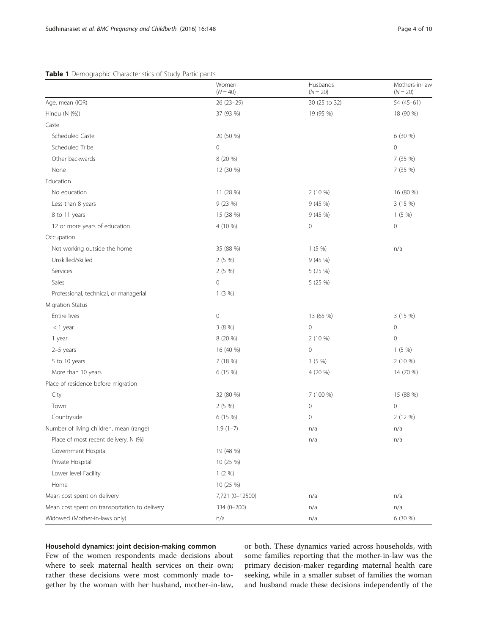# <span id="page-3-0"></span>Table 1 Demographic Characteristics of Study Participants

|                                               | Women<br>$(N = 40)$ | Husbands<br>$(N = 20)$ | Mothers-in-law<br>$(N = 20)$ |
|-----------------------------------------------|---------------------|------------------------|------------------------------|
| Age, mean (IQR)                               | 26 (23-29)          | 30 (25 to 32)          | $54(45-61)$                  |
| Hindu (N (%))                                 | 37 (93 %)           | 19 (95 %)              | 18 (90 %)                    |
| Caste                                         |                     |                        |                              |
| Scheduled Caste                               | 20 (50 %)           |                        | 6 (30 %)                     |
| Scheduled Tribe                               | $\circ$             |                        | 0                            |
| Other backwards                               | 8 (20 %)            |                        | 7 (35 %)                     |
| None                                          | 12 (30 %)           |                        | 7 (35 %)                     |
| Education                                     |                     |                        |                              |
| No education                                  | 11 (28 %)           | 2 (10 %)               | 16 (80 %)                    |
| Less than 8 years                             | 9(23%)              | 9 (45 %)               | 3 (15 %)                     |
| 8 to 11 years                                 | 15 (38 %)           | 9 (45 %)               | 1(5%                         |
| 12 or more years of education                 | 4 (10 %)            | $\mathsf{O}\xspace$    | 0                            |
| Occupation                                    |                     |                        |                              |
| Not working outside the home                  | 35 (88 %)           | 1(5%                   | n/a                          |
| Unskilled/skilled                             | 2(5%                | 9 (45 %)               |                              |
| Services                                      | 2(5%                | 5 (25 %)               |                              |
| Sales                                         | $\mathbf 0$         | 5 (25 %)               |                              |
| Professional, technical, or managerial        | 1(3%)               |                        |                              |
| Migration Status                              |                     |                        |                              |
| Entire lives                                  | $\mathbf 0$         | 13 (65 %)              | 3 (15 %)                     |
| $<$ 1 year                                    | 3 (8 %)             | $\mathsf{O}\xspace$    | 0                            |
| 1 year                                        | 8 (20 %)            | 2 (10 %)               | 0                            |
| 2-5 years                                     | 16 (40 %)           | $\circ$                | 1(5%                         |
| 5 to 10 years                                 | 7 (18 %)            | 1(5%                   | 2 (10 %)                     |
| More than 10 years                            | 6 (15 %)            | 4 (20 %)               | 14 (70 %)                    |
| Place of residence before migration           |                     |                        |                              |
| City                                          | 32 (80 %)           | 7 (100 %)              | 15 (88 %)                    |
| Town                                          | 2(5%                | $\mathsf{O}\xspace$    | $\mathbf 0$                  |
| Countryside                                   | 6 (15 %)            | $\mathsf{O}\xspace$    | 2 (12 %)                     |
| Number of living children, mean (range)       | $1.9(1-7)$          | n/a                    | n/a                          |
| Place of most recent delivery, N (%)          |                     | n/a                    | n/a                          |
| Government Hospital                           | 19 (48 %)           |                        |                              |
| Private Hospital                              | 10 (25 %)           |                        |                              |
| Lower level Facility                          | 1(2%)               |                        |                              |
| Home                                          | 10 (25 %)           |                        |                              |
| Mean cost spent on delivery                   | 7,721 (0-12500)     | n/a                    | n/a                          |
| Mean cost spent on transportation to delivery | 334 (0-200)         | n/a                    | n/a                          |
| Widowed (Mother-in-laws only)                 | n/a                 | n/a                    | 6 (30 %)                     |

# Household dynamics: joint decision-making common

Few of the women respondents made decisions about where to seek maternal health services on their own; rather these decisions were most commonly made together by the woman with her husband, mother-in-law,

or both. These dynamics varied across households, with some families reporting that the mother-in-law was the primary decision-maker regarding maternal health care seeking, while in a smaller subset of families the woman and husband made these decisions independently of the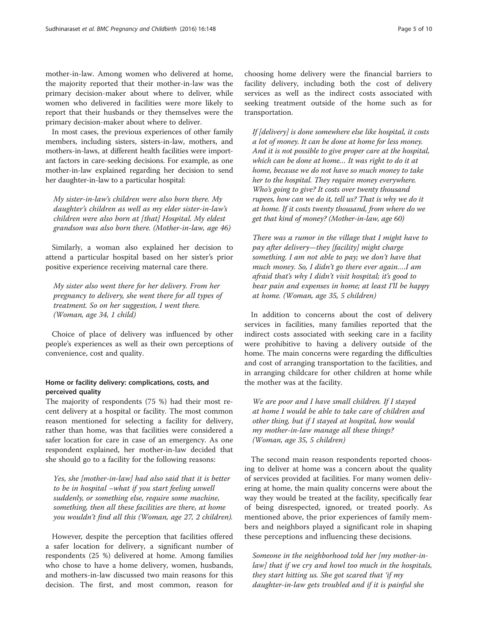mother-in-law. Among women who delivered at home, the majority reported that their mother-in-law was the primary decision-maker about where to deliver, while women who delivered in facilities were more likely to report that their husbands or they themselves were the primary decision-maker about where to deliver.

In most cases, the previous experiences of other family members, including sisters, sisters-in-law, mothers, and mothers-in-laws, at different health facilities were important factors in care-seeking decisions. For example, as one mother-in-law explained regarding her decision to send her daughter-in-law to a particular hospital:

My sister-in-law's children were also born there. My daughter's children as well as my elder sister-in-law's children were also born at [that] Hospital. My eldest grandson was also born there. (Mother-in-law, age 46)

Similarly, a woman also explained her decision to attend a particular hospital based on her sister's prior positive experience receiving maternal care there.

My sister also went there for her delivery. From her pregnancy to delivery, she went there for all types of treatment. So on her suggestion, I went there. (Woman, age 34, 1 child)

Choice of place of delivery was influenced by other people's experiences as well as their own perceptions of convenience, cost and quality.

# Home or facility delivery: complications, costs, and perceived quality

The majority of respondents (75 %) had their most recent delivery at a hospital or facility. The most common reason mentioned for selecting a facility for delivery, rather than home, was that facilities were considered a safer location for care in case of an emergency. As one respondent explained, her mother-in-law decided that she should go to a facility for the following reasons:

Yes, she [mother-in-law] had also said that it is better to be in hospital –what if you start feeling unwell suddenly, or something else, require some machine, something, then all these facilities are there, at home you wouldn't find all this (Woman, age 27, 2 children).

However, despite the perception that facilities offered a safer location for delivery, a significant number of respondents (25 %) delivered at home. Among families who chose to have a home delivery, women, husbands, and mothers-in-law discussed two main reasons for this decision. The first, and most common, reason for If [delivery] is done somewhere else like hospital, it costs a lot of money. It can be done at home for less money. And it is not possible to give proper care at the hospital, which can be done at home… It was right to do it at home, because we do not have so much money to take her to the hospital. They require money everywhere. Who's going to give? It costs over twenty thousand rupees, how can we do it, tell us? That is why we do it at home. If it costs twenty thousand, from where do we get that kind of money? (Mother-in-law, age 60)

There was a rumor in the village that I might have to pay after delivery—they [facility] might charge something. I am not able to pay; we don't have that much money. So, I didn't go there ever again….I am afraid that's why I didn't visit hospital; it's good to bear pain and expenses in home; at least I'll be happy at home. (Woman, age 35, 5 children)

In addition to concerns about the cost of delivery services in facilities, many families reported that the indirect costs associated with seeking care in a facility were prohibitive to having a delivery outside of the home. The main concerns were regarding the difficulties and cost of arranging transportation to the facilities, and in arranging childcare for other children at home while the mother was at the facility.

We are poor and I have small children. If I stayed at home I would be able to take care of children and other thing, but if I stayed at hospital, how would my mother-in-law manage all these things? (Woman, age 35, 5 children)

The second main reason respondents reported choosing to deliver at home was a concern about the quality of services provided at facilities. For many women delivering at home, the main quality concerns were about the way they would be treated at the facility, specifically fear of being disrespected, ignored, or treated poorly. As mentioned above, the prior experiences of family members and neighbors played a significant role in shaping these perceptions and influencing these decisions.

Someone in the neighborhood told her [my mother-inlaw] that if we cry and howl too much in the hospitals, they start hitting us. She got scared that 'if my daughter-in-law gets troubled and if it is painful she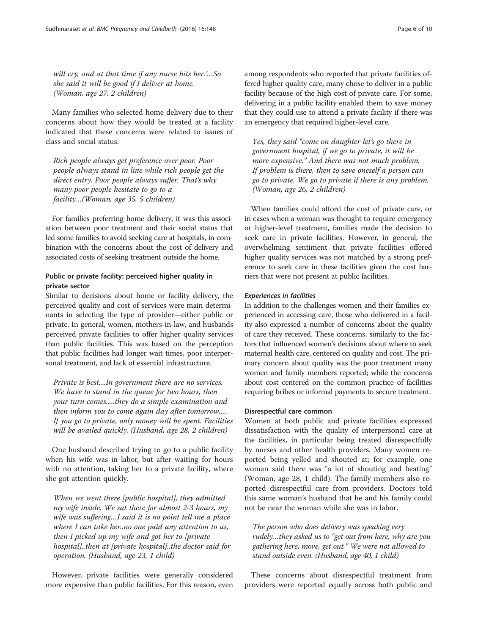will cry, and at that time if any nurse hits her.'…So she said it will be good if I deliver at home. (Woman, age 27, 2 children)

Many families who selected home delivery due to their concerns about how they would be treated at a facility indicated that these concerns were related to issues of class and social status.

Rich people always get preference over poor. Poor people always stand in line while rich people get the direct entry. Poor people always suffer. That's why many poor people hesitate to go to a facility…(Woman, age 35, 5 children)

For families preferring home delivery, it was this association between poor treatment and their social status that led some families to avoid seeking care at hospitals, in combination with the concerns about the cost of delivery and associated costs of seeking treatment outside the home.

# Public or private facility: perceived higher quality in private sector

Similar to decisions about home or facility delivery, the perceived quality and cost of services were main determinants in selecting the type of provider—either public or private. In general, women, mothers-in-law, and husbands perceived private facilities to offer higher quality services than public facilities. This was based on the perception that public facilities had longer wait times, poor interpersonal treatment, and lack of essential infrastructure.

Private is best....In government there are no services. We have to stand in the queue for two hours, then your turn comes.....they do a simple examination and then inform you to come again day after tomorrow…. If you go to private, only money will be spent. Facilities will be availed quickly. (Husband, age 28, 2 children)

One husband described trying to go to a public facility when his wife was in labor, but after waiting for hours with no attention, taking her to a private facility, where she got attention quickly.

When we went there [public hospital], they admitted my wife inside. We sat there for almost 2-3 hours, my wife was suffering…I said it is no point tell me a place where I can take her..no one paid any attention to us, then I picked up my wife and got her to [private hospital]..then at [private hospital]..the doctor said for operation. (Husband, age 23, 1 child)

However, private facilities were generally considered more expensive than public facilities. For this reason, even

among respondents who reported that private facilities offered higher quality care, many chose to deliver in a public facility because of the high cost of private care. For some, delivering in a public facility enabled them to save money that they could use to attend a private facility if there was an emergency that required higher-level care.

Yes, they said "come on daughter let's go there in government hospital, if we go to private, it will be more expensive." And there was not much problem. If problem is there, then to save oneself a person can go to private. We go to private if there is any problem. (Woman, age 26, 2 children)

When families could afford the cost of private care, or in cases when a woman was thought to require emergency or higher-level treatment, families made the decision to seek care in private facilities. However, in general, the overwhelming sentiment that private facilities offered higher quality services was not matched by a strong preference to seek care in these facilities given the cost barriers that were not present at public facilities.

# Experiences in facilities

In addition to the challenges women and their families experienced in accessing care, those who delivered in a facility also expressed a number of concerns about the quality of care they received. These concerns, similarly to the factors that influenced women's decisions about where to seek maternal health care, centered on quality and cost. The primary concern about quality was the poor treatment many women and family members reported; while the concerns about cost centered on the common practice of facilities requiring bribes or informal payments to secure treatment.

# Disrespectful care common

Women at both public and private facilities expressed dissatisfaction with the quality of interpersonal care at the facilities, in particular being treated disrespectfully by nurses and other health providers. Many women reported being yelled and shouted at; for example, one woman said there was "a lot of shouting and beating" (Woman, age 28, 1 child). The family members also reported disrespectful care from providers. Doctors told this same woman's husband that he and his family could not be near the woman while she was in labor.

The person who does delivery was speaking very rudely…they asked us to "get out from here, why are you gathering here, move, get out." We were not allowed to stand outside even. (Husband, age 40, 1 child)

These concerns about disrespectful treatment from providers were reported equally across both public and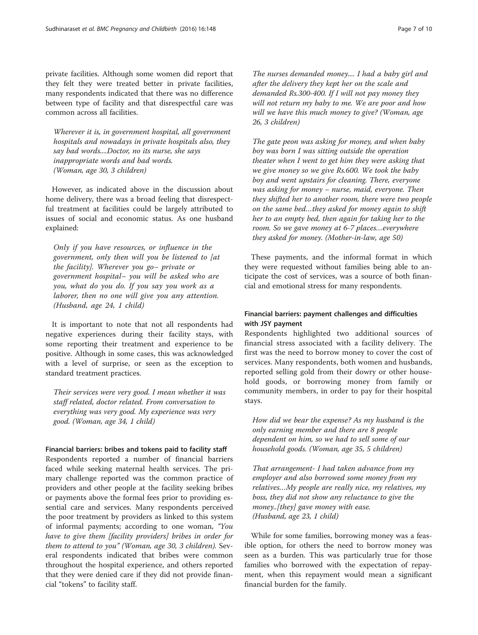private facilities. Although some women did report that they felt they were treated better in private facilities, many respondents indicated that there was no difference between type of facility and that disrespectful care was common across all facilities.

Wherever it is, in government hospital, all government hospitals and nowadays in private hospitals also, they say bad words....Doctor, no its nurse, she says inappropriate words and bad words. (Woman, age 30, 3 children)

However, as indicated above in the discussion about home delivery, there was a broad feeling that disrespectful treatment at facilities could be largely attributed to issues of social and economic status. As one husband explained:

Only if you have resources, or influence in the government, only then will you be listened to [at the facility]. Wherever you go– private or government hospital– you will be asked who are you, what do you do. If you say you work as a laborer, then no one will give you any attention. (Husband, age 24, 1 child)

It is important to note that not all respondents had negative experiences during their facility stays, with some reporting their treatment and experience to be positive. Although in some cases, this was acknowledged with a level of surprise, or seen as the exception to standard treatment practices.

Their services were very good. I mean whether it was staff related, doctor related. From conversation to everything was very good. My experience was very good. (Woman, age 34, 1 child)

# Financial barriers: bribes and tokens paid to facility staff

Respondents reported a number of financial barriers faced while seeking maternal health services. The primary challenge reported was the common practice of providers and other people at the facility seeking bribes or payments above the formal fees prior to providing essential care and services. Many respondents perceived the poor treatment by providers as linked to this system of informal payments; according to one woman, "You have to give them [facility providers] bribes in order for them to attend to you" (Woman, age 30, 3 children). Several respondents indicated that bribes were common throughout the hospital experience, and others reported that they were denied care if they did not provide financial "tokens" to facility staff.

The nurses demanded money.... I had a baby girl and after the delivery they kept her on the scale and demanded Rs.300-400. If I will not pay money they will not return my baby to me. We are poor and how will we have this much money to give? (Woman, age 26, 3 children)

The gate peon was asking for money, and when baby boy was born I was sitting outside the operation theater when I went to get him they were asking that we give money so we give Rs.600. We took the baby boy and went upstairs for cleaning. There, everyone was asking for money – nurse, maid, everyone. Then they shifted her to another room, there were two people on the same bed…they asked for money again to shift her to an empty bed, then again for taking her to the room. So we gave money at 6-7 places…everywhere they asked for money. (Mother-in-law, age 50)

These payments, and the informal format in which they were requested without families being able to anticipate the cost of services, was a source of both financial and emotional stress for many respondents.

# Financial barriers: payment challenges and difficulties with JSY payment

Respondents highlighted two additional sources of financial stress associated with a facility delivery. The first was the need to borrow money to cover the cost of services. Many respondents, both women and husbands, reported selling gold from their dowry or other household goods, or borrowing money from family or community members, in order to pay for their hospital stays.

How did we bear the expense? As my husband is the only earning member and there are 8 people dependent on him, so we had to sell some of our household goods. (Woman, age 35, 5 children)

That arrangement- I had taken advance from my employer and also borrowed some money from my relatives…My people are really nice, my relatives, my boss, they did not show any reluctance to give the money..[they] gave money with ease. (Husband, age 23, 1 child)

While for some families, borrowing money was a feasible option, for others the need to borrow money was seen as a burden. This was particularly true for those families who borrowed with the expectation of repayment, when this repayment would mean a significant financial burden for the family.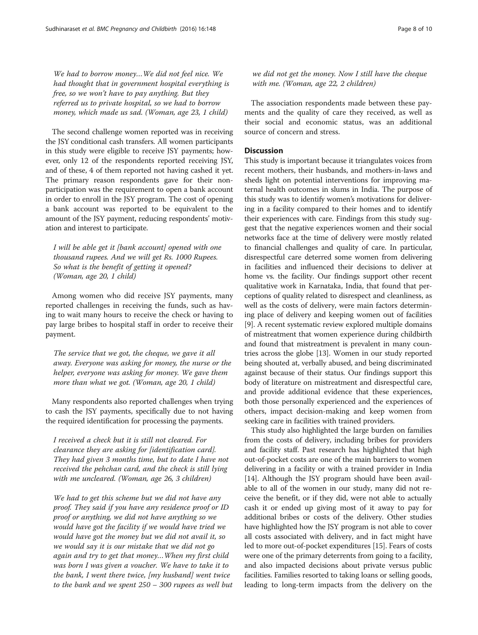We had to borrow money…We did not feel nice. We had thought that in government hospital everything is free, so we won't have to pay anything. But they referred us to private hospital, so we had to borrow money, which made us sad. (Woman, age 23, 1 child)

The second challenge women reported was in receiving the JSY conditional cash transfers. All women participants in this study were eligible to receive JSY payments; however, only 12 of the respondents reported receiving JSY, and of these, 4 of them reported not having cashed it yet. The primary reason respondents gave for their nonparticipation was the requirement to open a bank account in order to enroll in the JSY program. The cost of opening a bank account was reported to be equivalent to the amount of the JSY payment, reducing respondents' motivation and interest to participate.

I will be able get it [bank account] opened with one thousand rupees. And we will get Rs. 1000 Rupees. So what is the benefit of getting it opened? (Woman, age 20, 1 child)

Among women who did receive JSY payments, many reported challenges in receiving the funds, such as having to wait many hours to receive the check or having to pay large bribes to hospital staff in order to receive their payment.

The service that we got, the cheque, we gave it all away. Everyone was asking for money, the nurse or the helper, everyone was asking for money. We gave them more than what we got. (Woman, age 20, 1 child)

Many respondents also reported challenges when trying to cash the JSY payments, specifically due to not having the required identification for processing the payments.

I received a check but it is still not cleared. For clearance they are asking for [identification card]. They had given 3 months time, but to date I have not received the pehchan card, and the check is still lying with me uncleared. (Woman, age 26, 3 children)

We had to get this scheme but we did not have any proof. They said if you have any residence proof or ID proof or anything, we did not have anything so we would have got the facility if we would have tried we would have got the money but we did not avail it, so we would say it is our mistake that we did not go again and try to get that money…When my first child was born I was given a voucher. We have to take it to the bank, I went there twice, [my husband] went twice to the bank and we spent 250 – 300 rupees as well but

we did not get the money. Now I still have the cheque with me. (Woman, age 22, 2 children)

The association respondents made between these payments and the quality of care they received, as well as their social and economic status, was an additional source of concern and stress.

# **Discussion**

This study is important because it triangulates voices from recent mothers, their husbands, and mothers-in-laws and sheds light on potential interventions for improving maternal health outcomes in slums in India. The purpose of this study was to identify women's motivations for delivering in a facility compared to their homes and to identify their experiences with care. Findings from this study suggest that the negative experiences women and their social networks face at the time of delivery were mostly related to financial challenges and quality of care. In particular, disrespectful care deterred some women from delivering in facilities and influenced their decisions to deliver at home vs. the facility. Our findings support other recent qualitative work in Karnataka, India, that found that perceptions of quality related to disrespect and cleanliness, as well as the costs of delivery, were main factors determining place of delivery and keeping women out of facilities [[9\]](#page-9-0). A recent systematic review explored multiple domains of mistreatment that women experience during childbirth and found that mistreatment is prevalent in many countries across the globe [\[13\]](#page-9-0). Women in our study reported being shouted at, verbally abused, and being discriminated against because of their status. Our findings support this body of literature on mistreatment and disrespectful care, and provide additional evidence that these experiences, both those personally experienced and the experiences of others, impact decision-making and keep women from seeking care in facilities with trained providers.

This study also highlighted the large burden on families from the costs of delivery, including bribes for providers and facility staff. Past research has highlighted that high out-of-pocket costs are one of the main barriers to women delivering in a facility or with a trained provider in India [[14](#page-9-0)]. Although the JSY program should have been available to all of the women in our study, many did not receive the benefit, or if they did, were not able to actually cash it or ended up giving most of it away to pay for additional bribes or costs of the delivery. Other studies have highlighted how the JSY program is not able to cover all costs associated with delivery, and in fact might have led to more out-of-pocket expenditures [\[15](#page-9-0)]. Fears of costs were one of the primary deterrents from going to a facility, and also impacted decisions about private versus public facilities. Families resorted to taking loans or selling goods, leading to long-term impacts from the delivery on the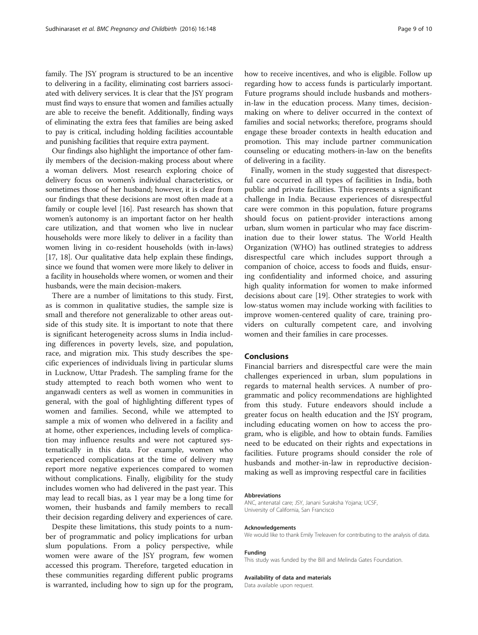family. The JSY program is structured to be an incentive to delivering in a facility, eliminating cost barriers associated with delivery services. It is clear that the JSY program must find ways to ensure that women and families actually are able to receive the benefit. Additionally, finding ways of eliminating the extra fees that families are being asked to pay is critical, including holding facilities accountable and punishing facilities that require extra payment.

Our findings also highlight the importance of other family members of the decision-making process about where a woman delivers. Most research exploring choice of delivery focus on women's individual characteristics, or sometimes those of her husband; however, it is clear from our findings that these decisions are most often made at a family or couple level [\[16\]](#page-9-0). Past research has shown that women's autonomy is an important factor on her health care utilization, and that women who live in nuclear households were more likely to deliver in a facility than women living in co-resident households (with in-laws) [[17](#page-9-0), [18\]](#page-9-0). Our qualitative data help explain these findings, since we found that women were more likely to deliver in a facility in households where women, or women and their husbands, were the main decision-makers.

There are a number of limitations to this study. First, as is common in qualitative studies, the sample size is small and therefore not generalizable to other areas outside of this study site. It is important to note that there is significant heterogeneity across slums in India including differences in poverty levels, size, and population, race, and migration mix. This study describes the specific experiences of individuals living in particular slums in Lucknow, Uttar Pradesh. The sampling frame for the study attempted to reach both women who went to anganwadi centers as well as women in communities in general, with the goal of highlighting different types of women and families. Second, while we attempted to sample a mix of women who delivered in a facility and at home, other experiences, including levels of complication may influence results and were not captured systematically in this data. For example, women who experienced complications at the time of delivery may report more negative experiences compared to women without complications. Finally, eligibility for the study includes women who had delivered in the past year. This may lead to recall bias, as 1 year may be a long time for women, their husbands and family members to recall their decision regarding delivery and experiences of care.

Despite these limitations, this study points to a number of programmatic and policy implications for urban slum populations. From a policy perspective, while women were aware of the JSY program, few women accessed this program. Therefore, targeted education in these communities regarding different public programs is warranted, including how to sign up for the program, how to receive incentives, and who is eligible. Follow up regarding how to access funds is particularly important. Future programs should include husbands and mothersin-law in the education process. Many times, decisionmaking on where to deliver occurred in the context of families and social networks; therefore, programs should engage these broader contexts in health education and promotion. This may include partner communication

of delivering in a facility. Finally, women in the study suggested that disrespectful care occurred in all types of facilities in India, both public and private facilities. This represents a significant challenge in India. Because experiences of disrespectful care were common in this population, future programs should focus on patient-provider interactions among urban, slum women in particular who may face discrimination due to their lower status. The World Health Organization (WHO) has outlined strategies to address disrespectful care which includes support through a companion of choice, access to foods and fluids, ensuring confidentiality and informed choice, and assuring high quality information for women to make informed decisions about care [\[19\]](#page-9-0). Other strategies to work with low-status women may include working with facilities to improve women-centered quality of care, training providers on culturally competent care, and involving women and their families in care processes.

counseling or educating mothers-in-law on the benefits

# Conclusions

Financial barriers and disrespectful care were the main challenges experienced in urban, slum populations in regards to maternal health services. A number of programmatic and policy recommendations are highlighted from this study. Future endeavors should include a greater focus on health education and the JSY program, including educating women on how to access the program, who is eligible, and how to obtain funds. Families need to be educated on their rights and expectations in facilities. Future programs should consider the role of husbands and mother-in-law in reproductive decisionmaking as well as improving respectful care in facilities

#### Abbreviations

ANC, antenatal care; JSY, Janani Suraksha Yojana; UCSF, University of California, San Francisco

#### Acknowledgements

We would like to thank Emily Treleaven for contributing to the analysis of data.

#### Funding

This study was funded by the Bill and Melinda Gates Foundation.

#### Availability of data and materials

Data available upon request.